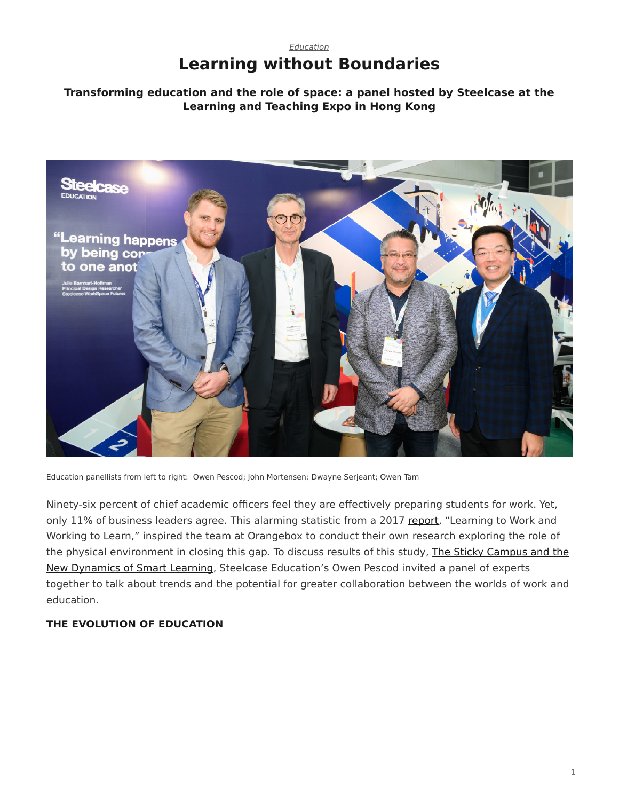# *[Education](https://www.steelcase.com/asia-en/research/topics/education/)* **Learning without Boundaries**

## **Transforming education and the role of space: a panel hosted by Steelcase at the Learning and Teaching Expo in Hong Kong**



Education panellists from left to right: Owen Pescod; John Mortensen; Dwayne Serjeant; Owen Tam

Ninety-six percent of chief academic officers feel they are effectively preparing students for work. Yet, only 11% of business leaders agree. This alarming statistic from a 2017 [report](https://www.uschamberfoundation.org/reports/learning-work-working-learn), "Learning to Work and Working to Learn," inspired the team at Orangebox to conduct their own research exploring the role of the physical environment in closing this gap. To discuss results of this study, [The Sticky Campus and the](https://www.orangebox.com/collections?o=overlay/article/the-sticky-campus-and-the-new-dynamics-of-smartlearning) [New Dynamics of Smart Learning,](https://www.orangebox.com/collections?o=overlay/article/the-sticky-campus-and-the-new-dynamics-of-smartlearning) Steelcase Education's Owen Pescod invited a panel of experts together to talk about trends and the potential for greater collaboration between the worlds of work and education.

### **THE EVOLUTION OF EDUCATION**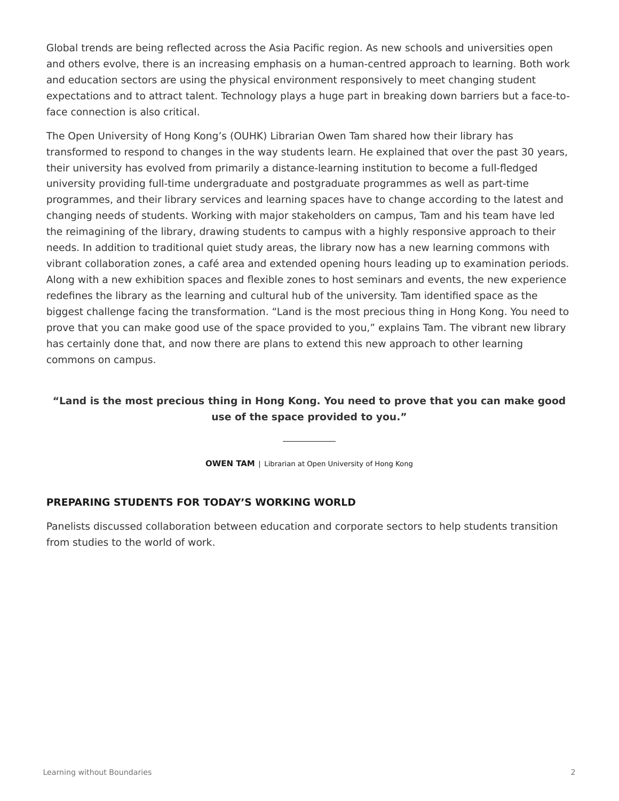Global trends are being reflected across the Asia Pacific region. As new schools and universities open and others evolve, there is an increasing emphasis on a human-centred approach to learning. Both work and education sectors are using the physical environment responsively to meet changing student expectations and to attract talent. Technology plays a huge part in breaking down barriers but a face-toface connection is also critical.

The Open University of Hong Kong's (OUHK) Librarian Owen Tam shared how their library has transformed to respond to changes in the way students learn. He explained that over the past 30 years, their university has evolved from primarily a distance-learning institution to become a full-fledged university providing full-time undergraduate and postgraduate programmes as well as part-time programmes, and their library services and learning spaces have to change according to the latest and changing needs of students. Working with major stakeholders on campus, Tam and his team have led the reimagining of the library, drawing students to campus with a highly responsive approach to their needs. In addition to traditional quiet study areas, the library now has a new learning commons with vibrant collaboration zones, a café area and extended opening hours leading up to examination periods. Along with a new exhibition spaces and flexible zones to host seminars and events, the new experience redefines the library as the learning and cultural hub of the university. Tam identified space as the biggest challenge facing the transformation. "Land is the most precious thing in Hong Kong. You need to prove that you can make good use of the space provided to you," explains Tam. The vibrant new library has certainly done that, and now there are plans to extend this new approach to other learning commons on campus.

## **"Land is the most precious thing in Hong Kong. You need to prove that you can make good use of the space provided to you."**

**OWEN TAM** | Librarian at Open University of Hong Kong

#### **PREPARING STUDENTS FOR TODAY'S WORKING WORLD**

Panelists discussed collaboration between education and corporate sectors to help students transition from studies to the world of work.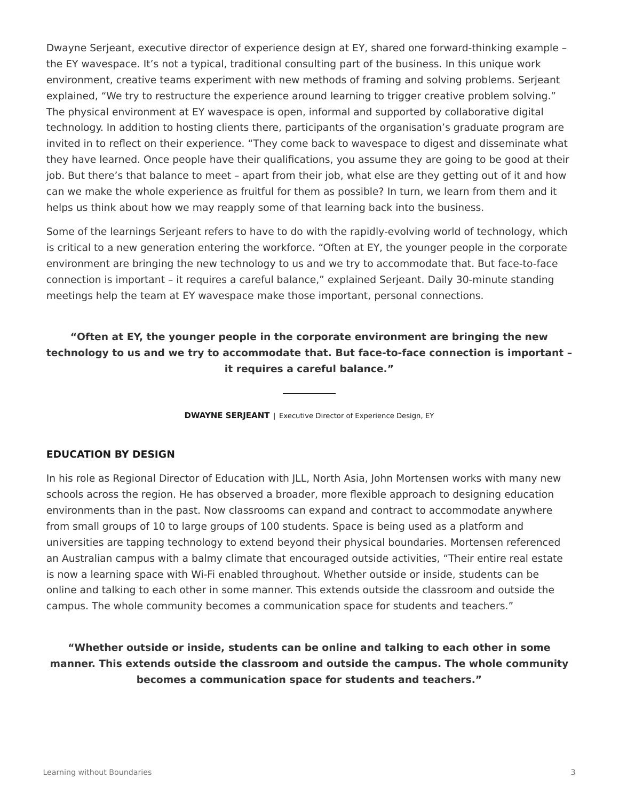Dwayne Serjeant, executive director of experience design at EY, shared one forward-thinking example – the EY wavespace. It's not a typical, traditional consulting part of the business. In this unique work environment, creative teams experiment with new methods of framing and solving problems. Serjeant explained, "We try to restructure the experience around learning to trigger creative problem solving." The physical environment at EY wavespace is open, informal and supported by collaborative digital technology. In addition to hosting clients there, participants of the organisation's graduate program are invited in to reflect on their experience. "They come back to wavespace to digest and disseminate what they have learned. Once people have their qualifications, you assume they are going to be good at their job. But there's that balance to meet – apart from their job, what else are they getting out of it and how can we make the whole experience as fruitful for them as possible? In turn, we learn from them and it helps us think about how we may reapply some of that learning back into the business.

Some of the learnings Serjeant refers to have to do with the rapidly-evolving world of technology, which is critical to a new generation entering the workforce. "Often at EY, the younger people in the corporate environment are bringing the new technology to us and we try to accommodate that. But face-to-face connection is important – it requires a careful balance," explained Serjeant. Daily 30-minute standing meetings help the team at EY wavespace make those important, personal connections.

## **"Often at EY, the younger people in the corporate environment are bringing the new technology to us and we try to accommodate that. But face-to-face connection is important – it requires a careful balance."**

**DWAYNE SERJEANT** | Executive Director of Experience Design, EY

#### **EDUCATION BY DESIGN**

In his role as Regional Director of Education with JLL, North Asia, John Mortensen works with many new schools across the region. He has observed a broader, more flexible approach to designing education environments than in the past. Now classrooms can expand and contract to accommodate anywhere from small groups of 10 to large groups of 100 students. Space is being used as a platform and universities are tapping technology to extend beyond their physical boundaries. Mortensen referenced an Australian campus with a balmy climate that encouraged outside activities, "Their entire real estate is now a learning space with Wi-Fi enabled throughout. Whether outside or inside, students can be online and talking to each other in some manner. This extends outside the classroom and outside the campus. The whole community becomes a communication space for students and teachers."

**"Whether outside or inside, students can be online and talking to each other in some manner. This extends outside the classroom and outside the campus. The whole community becomes a communication space for students and teachers."**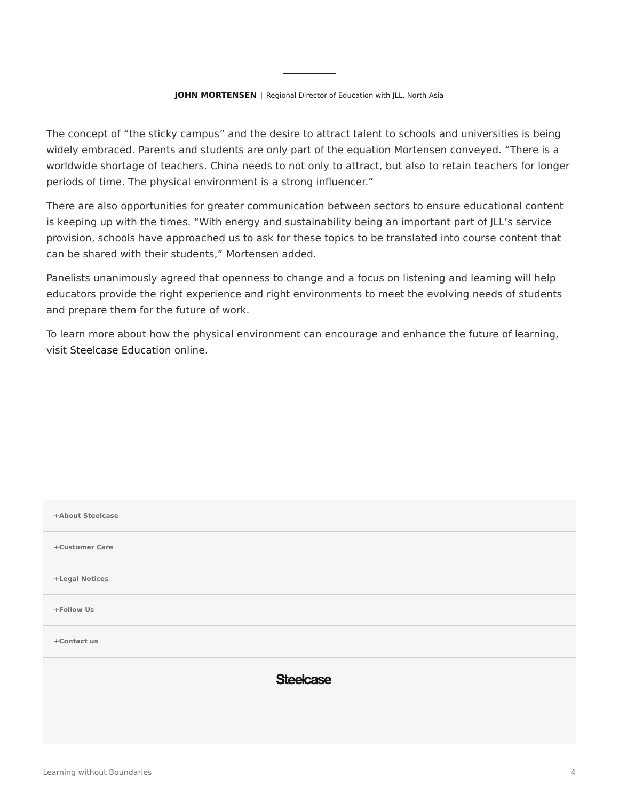The concept of "the sticky campus" and the desire to attract talent to schools and universities is being widely embraced. Parents and students are only part of the equation Mortensen conveyed. "There is a worldwide shortage of teachers. China needs to not only to attract, but also to retain teachers for longer periods of time. The physical environment is a strong influencer."

There are also opportunities for greater communication between sectors to ensure educational content is keeping up with the times. "With energy and sustainability being an important part of JLL's service provision, schools have approached us to ask for these topics to be translated into course content that can be shared with their students," Mortensen added.

Panelists unanimously agreed that openness to change and a focus on listening and learning will help educators provide the right experience and right environments to meet the evolving needs of students and prepare them for the future of work.

To learn more about how the physical environment can encourage and enhance the future of learning, visit [Steelcase Education](https://www.steelcase.com/asia-en/discover/information/education-professionals/) online.

| +About Steelcase |                  |
|------------------|------------------|
| +Customer Care   |                  |
| +Legal Notices   |                  |
| +Follow Us       |                  |
| +Contact us      |                  |
|                  | <b>Steelcase</b> |
|                  |                  |
|                  |                  |